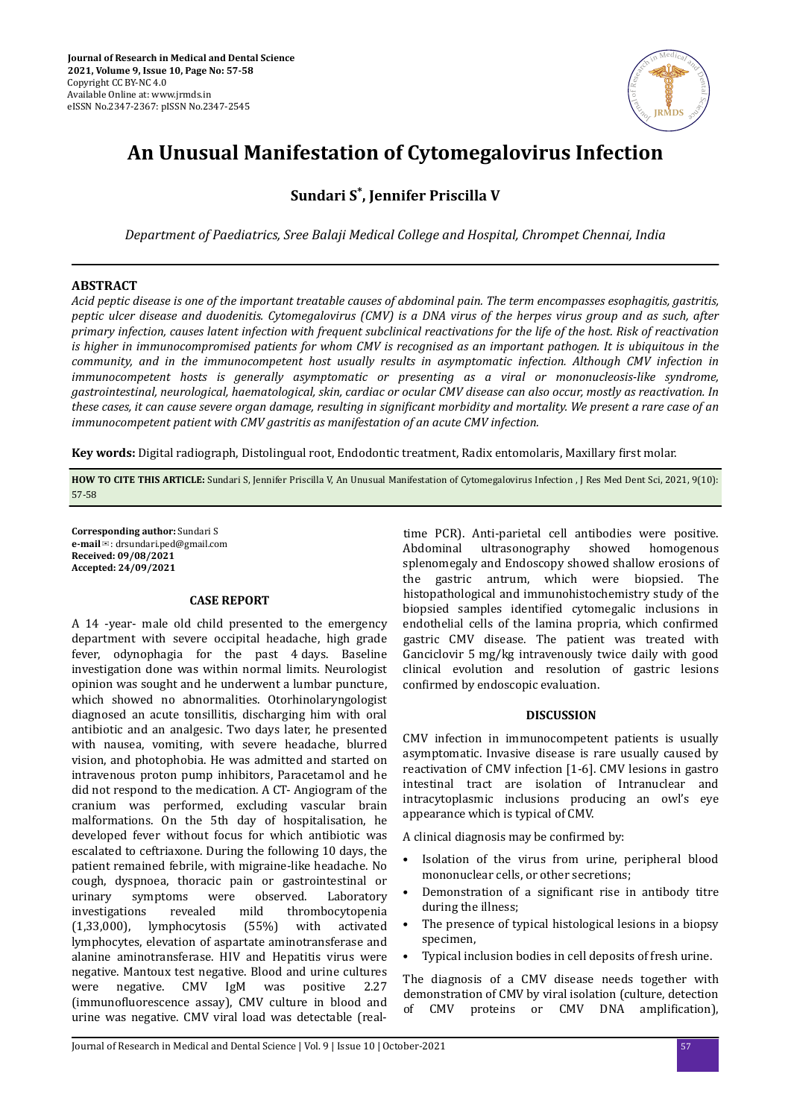

# **An Unusual Manifestation of Cytomegalovirus Infection**

# **Sundari S\* , Jennifer Priscilla V**

*Department of Paediatrics, Sree Balaji Medical College and Hospital, Chrompet Chennai, India*

## **ABSTRACT**

*Acid peptic disease is one of the important treatable causes of abdominal pain. The term encompasses esophagitis, gastritis, peptic ulcer disease and duodenitis. Cytomegalovirus (CMV) is a DNA virus of the herpes virus group and as such, after primary infection, causes latent infection with frequent subclinical reactivations for the life of the host. Risk of reactivation is higher in immunocompromised patients for whom CMV is recognised as an important pathogen. It is ubiquitous in the community, and in the immunocompetent host usually results in asymptomatic infection. Although CMV infection in immunocompetent hosts is generally asymptomatic or presenting as a viral or mononucleosis-like syndrome, gastrointestinal, neurological, haematological, skin, cardiac or ocular CMV disease can also occur, mostly as reactivation. In these cases, it can cause severe organ damage, resulting in significant morbidity and mortality. We present a rare case of an immunocompetent patient with CMV gastritis as manifestation of an acute CMV infection.*

Key words: Digital radiograph, Distolingual root, Endodontic treatment, Radix entomolaris, Maxillary first molar.

**HOW TO CITE THIS ARTICLE:** Sundari S, Jennifer Priscilla V, An Unusual Manifestation of Cytomegalovirus Infection , J Res Med Dent Sci, 2021, 9(10): 57-58

**Corresponding author:** Sundari S **e-mail**✉: drsundari.ped@gmail.com **Received: 09/08/2021 Accepted: 24/09/2021** 

#### **CASE REPORT**

A 14 -year- male old child presented to the emergency department with severe occipital headache, high grade fever, odynophagia for the past 4 days. Baseline investigation done was within normal limits. Neurologist opinion was sought and he underwent a lumbar puncture, which showed no abnormalities. Otorhinolaryngologist diagnosed an acute tonsillitis, discharging him with oral antibiotic and an analgesic. Two days later, he presented with nausea, vomiting, with severe headache, blurred vision, and photophobia. He was admitted and started on intravenous proton pump inhibitors, Paracetamol and he did not respond to the medication. A CT- Angiogram of the cranium was performed, excluding vascular brain malformations. On the 5th day of hospitalisation, he developed fever without focus for which antibiotic was escalated to ceftriaxone. During the following 10 days, the patient remained febrile, with migraine-like headache. No cough, dyspnoea, thoracic pain or gastrointestinal or urinary symptoms were observed. Laboratory investigations revealed mild thrombocytopenia (1,33,000), lymphocytosis (55%) with activated lymphocytes, elevation of aspartate aminotransferase and alanine aminotransferase. HIV and Hepatitis virus were negative. Mantoux test negative. Blood and urine cultures were negative. CMV IgM was positive 2.27 (immunofluorescence assay), CMV culture in blood and urine was negative. CMV viral load was detectable (real-

time PCR). Anti-parietal cell antibodies were positive. Abdominal ultrasonography showed homogenous splenomegaly and Endoscopy showed shallow erosions of the gastric antrum, which were biopsied. The histopathological and immunohistochemistry study of the biopsied samples identified cytomegalic inclusions in endothelial cells of the lamina propria, which confirmed gastric CMV disease. The patient was treated with Ganciclovir 5 mg/kg intravenously twice daily with good clinical evolution and resolution of gastric lesions confirmed by endoscopic evaluation.

#### **DISCUSSION**

CMV infection in immunocompetent patients is usually asymptomatic. Invasive disease is rare usually caused by reactivation of CMV infection [1-6]. CMV lesions in gastro intestinal tract are isolation of Intranuclear and intracytoplasmic inclusions producing an owl's eye appearance which is typical of CMV.

A clinical diagnosis may be confirmed by:

- Isolation of the virus from urine, peripheral blood mononuclear cells, or other secretions;
- Demonstration of a significant rise in antibody titre during the illness;
- The presence of typical histological lesions in a biopsy specimen,
- Typical inclusion bodies in cell deposits of fresh urine.

The diagnosis of a CMV disease needs together with demonstration of CMV by viral isolation (culture, detection of CMV proteins or CMV DNA amplification),